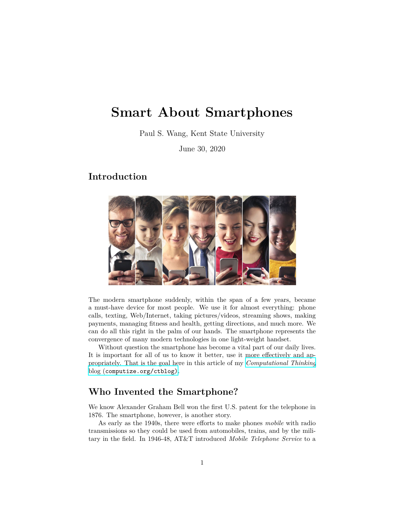# **Smart About Smartphones**

Paul S. Wang, Kent State University

June 30, 2020

#### **Introduction**



The modern smartphone suddenly, within the span of a few years, became a must-have device for most people. We use it for almost everything: phone calls, texting, Web/Internet, taking pictures/videos, streaming shows, making payments, managing fitness and health, getting directions, and much more. We can do all this right in the palm of our hands. The smartphone represents the convergence of many modern technologies in one light-weight handset.

Without question the smartphone has become a vital part of our daily lives. It is important for all of us to know it better, use it more effectively and appropriately. That is the goal here in this article of my *[Computational Thinking](https://computize.org/ctblog)* blog ([computize.org/ctblog\)](https://computize.org/ctblog).

#### **Who Invented the Smartphone?**

We know Alexander Graham Bell won the first U.S. patent for the telephone in 1876. The smartphone, however, is another story.

As early as the 1940s, there were efforts to make phones *mobile* with radio transmissions so they could be used from automobiles, trains, and by the military in the field. In 1946-48, AT&T introduced *Mobile Telephone Service* to a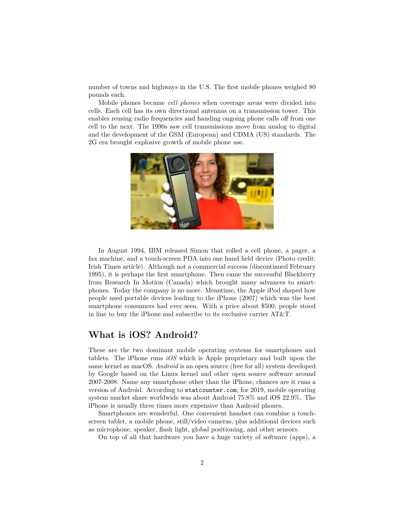number of towns and highways in the U.S. The first mobile phones weighed 80 pounds each.

Mobile phones became *cell phones* when coverage areas were divided into cells. Each cell has its own directional antennas on a transmission tower. This enables reusing radio frequencies and handing ongoing phone calls off from one cell to the next. The 1990s saw cell transmissions move from analog to digital and the development of the GSM (European) and CDMA (US) standards. The 2G era brought explosive growth of mobile phone use.



In August 1994, IBM released Simon that rolled a cell phone, a pager, a fax machine, and a touch-screen PDA into one hand held device (Photo credit: Irish Times article). Although not a commercial success (discontinued February 1995), it is perhaps the first smartphone. Then came the successful Blackberry from Research In Motion (Canada) which brought many advances to smartphones. Today the company is no more. Meantime, the Apple iPod shaped how people used portable devices leading to the iPhone (2007) which was the best smartphone consumers had ever seen. With a price about \$500, people stood in line to buy the iPhone and subscribe to its exclusive carrier AT&T.

## **What is iOS? Android?**

These are the two dominant mobile operating systems for smartphones and tablets. The iPhone runs *iOS* which is Apple proprietary and built upon the same kernel as macOS. *Android* is an open source (free for all) system developed by Google based on the Linux kernel and other open source software around 2007-2008. Name any smartphone other than the iPhone, chances are it runs a version of Android. According to statcounter.com, for 2019, mobile operating system market share worldwide was about Android 75.8% and iOS 22.9%. The iPhone is usually three times more expensive than Android phones.

Smartphones are wonderful. One convenient handset can combine a touchscreen tablet, a mobile phone, still/video cameras, plus additional devices such as microphone, speaker, flash light, global positioning, and other sensors.

On top of all that hardware you have a huge variety of software (apps), a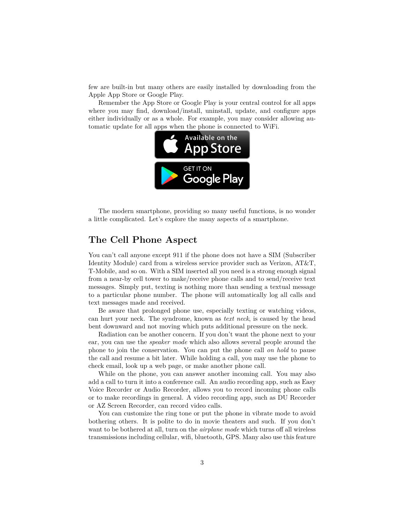few are built-in but many others are easily installed by downloading from the Apple App Store or Google Play.

Remember the App Store or Google Play is your central control for all apps where you may find, download/install, uninstall, update, and configure apps either individually or as a whole. For example, you may consider allowing automatic update for all apps when the phone is connected to WiFi.



The modern smartphone, providing so many useful functions, is no wonder a little complicated. Let's explore the many aspects of a smartphone.

## **The Cell Phone Aspect**

You can't call anyone except 911 if the phone does not have a SIM (Subscriber Identity Module) card from a wireless service provider such as Verizon, AT&T, T-Mobile, and so on. With a SIM inserted all you need is a strong enough signal from a near-by cell tower to make/receive phone calls and to send/receive text messages. Simply put, texting is nothing more than sending a textual message to a particular phone number. The phone will automatically log all calls and text messages made and received.

Be aware that prolonged phone use, especially texting or watching videos, can hurt your neck. The syndrome, known as *text neck*, is caused by the head bent downward and not moving which puts additional pressure on the neck.

Radiation can be another concern. If you don't want the phone next to your ear, you can use the *speaker mode* which also allows several people around the phone to join the conservation. You can put the phone call *on hold* to pause the call and resume a bit later. While holding a call, you may use the phone to check email, look up a web page, or make another phone call.

While on the phone, you can answer another incoming call. You may also add a call to turn it into a conference call. An audio recording app, such as Easy Voice Recorder or Audio Recorder, allows you to record incoming phone calls or to make recordings in general. A video recording app, such as DU Recorder or AZ Screen Recorder, can record video calls.

You can customize the ring tone or put the phone in vibrate mode to avoid bothering others. It is polite to do in movie theaters and such. If you don't want to be bothered at all, turn on the *airplane mode* which turns off all wireless transmissions including cellular, wifi, bluetooth, GPS. Many also use this feature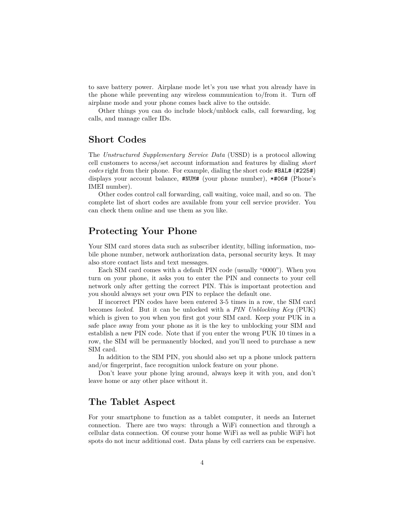to save battery power. Airplane mode let's you use what you already have in the phone while preventing any wireless communication to/from it. Turn off airplane mode and your phone comes back alive to the outside.

Other things you can do include block/unblock calls, call forwarding, log calls, and manage caller IDs.

## **Short Codes**

The *Unstructured Supplementary Service Data* (USSD) is a protocol allowing cell customers to access/set account information and features by dialing *short codes* right from their phone. For example, dialing the short code #BAL# (#225#) displays your account balance, #NUM# (your phone number), \*#06# (Phone's IMEI number).

Other codes control call forwarding, call waiting, voice mail, and so on. The complete list of short codes are available from your cell service provider. You can check them online and use them as you like.

### **Protecting Your Phone**

Your SIM card stores data such as subscriber identity, billing information, mobile phone number, network authorization data, personal security keys. It may also store contact lists and text messages.

Each SIM card comes with a default PIN code (usually "0000"). When you turn on your phone, it asks you to enter the PIN and connects to your cell network only after getting the correct PIN. This is important protection and you should always set your own PIN to replace the default one.

If incorrect PIN codes have been entered 3-5 times in a row, the SIM card becomes *locked*. But it can be unlocked with a *PIN Unblocking Key* (PUK) which is given to you when you first got your SIM card. Keep your PUK in a safe place away from your phone as it is the key to unblocking your SIM and establish a new PIN code. Note that if you enter the wrong PUK 10 times in a row, the SIM will be permanently blocked, and you'll need to purchase a new SIM card.

In addition to the SIM PIN, you should also set up a phone unlock pattern and/or fingerprint, face recognition unlock feature on your phone.

Don't leave your phone lying around, always keep it with you, and don't leave home or any other place without it.

#### **The Tablet Aspect**

For your smartphone to function as a tablet computer, it needs an Internet connection. There are two ways: through a WiFi connection and through a cellular data connection. Of course your home WiFi as well as public WiFi hot spots do not incur additional cost. Data plans by cell carriers can be expensive.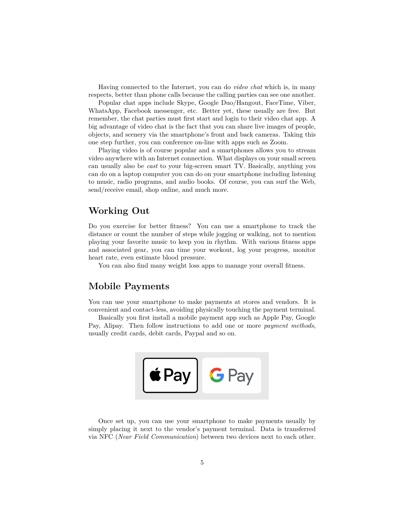Having connected to the Internet, you can do *video chat* which is, in many respects, better than phone calls because the calling parties can see one another.

Popular chat apps include Skype, Google Duo/Hangout, FaceTime, Viber, WhatsApp, Facebook messenger, etc. Better yet, these usually are free. But remember, the chat parties must first start and login to their video chat app. A big advantage of video chat is the fact that you can share live images of people, objects, and scenery via the smartphone's front and back cameras. Taking this one step further, you can conference on-line with apps such as Zoom.

Playing video is of course popular and a smartphones allows you to stream video anywhere with an Internet connection. What displays on your small screen can usually also be *cast* to your big-screen smart TV. Basically, anything you can do on a laptop computer you can do on your smartphone including listening to music, radio programs, and audio books. Of course, you can surf the Web, send/receive email, shop online, and much more.

### **Working Out**

Do you exercise for better fitness? You can use a smartphone to track the distance or count the number of steps while jogging or walking, not to mention playing your favorite music to keep you in rhythm. With various fitness apps and associated gear, you can time your workout, log your progress, monitor heart rate, even estimate blood pressure.

You can also find many weight loss apps to manage your overall fitness.

## **Mobile Payments**

You can use your smartphone to make payments at stores and vendors. It is convenient and contact-less, avoiding physically touching the payment terminal.

Basically you first install a mobile payment app such as Apple Pay, Google Pay, Alipay. Then follow instructions to add one or more *payment methods*, usually credit cards, debit cards, Paypal and so on.



Once set up, you can use your smartphone to make payments usually by simply placing it next to the vendor's payment terminal. Data is transferred via NFC (*Near Field Communication*) between two devices next to each other.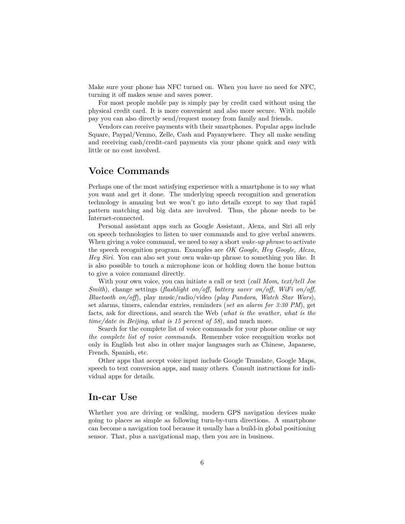Make sure your phone has NFC turned on. When you have no need for NFC, turning it off makes sense and saves power.

For most people mobile pay is simply pay by credit card without using the physical credit card. It is more convenient and also more secure. With mobile pay you can also directly send/request money from family and friends.

Vendors can receive payments with their smartphones. Popular apps include Square, Paypal/Venmo, Zelle, Cash and Payanywhere. They all make sending and receiving cash/credit-card payments via your phone quick and easy with little or no cost involved.

#### **Voice Commands**

Perhaps one of the most satisfying experience with a smartphone is to say what you want and get it done. The underlying speech recognition and generation technology is amazing but we won't go into details except to say that rapid pattern matching and big data are involved. Thus, the phone needs to be Internet-connected.

Personal assistant apps such as Google Assistant, Alexa, and Siri all rely on speech technologies to listen to user commands and to give verbal answers. When giving a voice command, we need to say a short *wake-up phrase* to activate the speech recognition program. Examples are *OK Google*, *Hey Google*, *Alexa*, *Hey Siri*. You can also set your own wake-up phrase to something you like. It is also possible to touch a microphone icon or holding down the home button to give a voice command directly.

With your own voice, you can initiate a call or text (*call Mom*, *text/tell Joe Smith*), change settings (*flashlight on/off*, *battery saver on/off*, *WiFi on/off*, *Bluetooth on/off*), play music/radio/video (*play Pandora*, *Watch Star Wars*), set alarms, timers, calendar entries, reminders (*set an alarm for 3:30 PM*), get facts, ask for directions, and search the Web (*what is the weather*, *what is the time/date in Beijing*, *what is 15 percent of 58*), and much more.

Search for the complete list of voice commands for your phone online or say *the complete list of voice commands*. Remember voice recognition works not only in English but also in other major languages such as Chinese, Japanese, French, Spanish, etc.

Other apps that accept voice input include Google Translate, Google Maps, speech to text conversion apps, and many others. Consult instructions for individual apps for details.

#### **In-car Use**

Whether you are driving or walking, modern GPS navigation devices make going to places as simple as following turn-by-turn directions. A smartphone can become a navigation tool because it usually has a build-in global positioning sensor. That, plus a navigational map, then you are in business.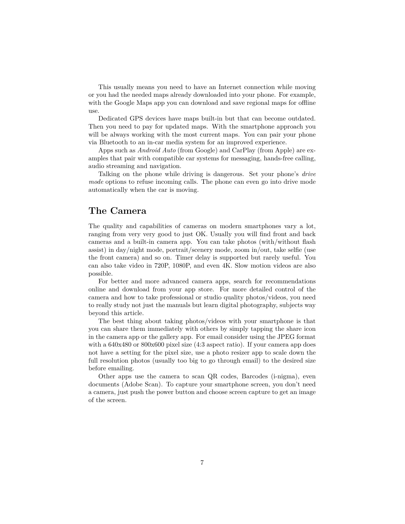This usually means you need to have an Internet connection while moving or you had the needed maps already downloaded into your phone. For example, with the Google Maps app you can download and save regional maps for offline use.

Dedicated GPS devices have maps built-in but that can become outdated. Then you need to pay for updated maps. With the smartphone approach you will be always working with the most current maps. You can pair your phone via Bluetooth to an in-car media system for an improved experience.

Apps such as *Android Auto* (from Google) and CarPlay (from Apple) are examples that pair with compatible car systems for messaging, hands-free calling, audio streaming and navigation.

Talking on the phone while driving is dangerous. Set your phone's *drive mode* options to refuse incoming calls. The phone can even go into drive mode automatically when the car is moving.

### **The Camera**

The quality and capabilities of cameras on modern smartphones vary a lot, ranging from very very good to just OK. Usually you will find front and back cameras and a built-in camera app. You can take photos (with/without flash assist) in day/night mode, portrait/scenery mode, zoom in/out, take selfie (use the front camera) and so on. Timer delay is supported but rarely useful. You can also take video in 720P, 1080P, and even 4K. Slow motion videos are also possible.

For better and more advanced camera apps, search for recommendations online and download from your app store. For more detailed control of the camera and how to take professional or studio quality photos/videos, you need to really study not just the manuals but learn digital photography, subjects way beyond this article.

The best thing about taking photos/videos with your smartphone is that you can share them immediately with others by simply tapping the share icon in the camera app or the gallery app. For email consider using the JPEG format with a  $640x480$  or  $800x600$  pixel size (4:3 aspect ratio). If your camera app does not have a setting for the pixel size, use a photo resizer app to scale down the full resolution photos (usually too big to go through email) to the desired size before emailing.

Other apps use the camera to scan QR codes, Barcodes (i-nigma), even documents (Adobe Scan). To capture your smartphone screen, you don't need a camera, just push the power button and choose screen capture to get an image of the screen.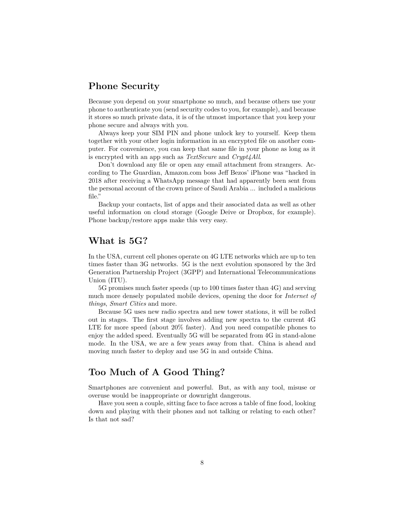## **Phone Security**

Because you depend on your smartphone so much, and because others use your phone to authenticate you (send security codes to you, for example), and because it stores so much private data, it is of the utmost importance that you keep your phone secure and always with you.

Always keep your SIM PIN and phone unlock key to yourself. Keep them together with your other login information in an encrypted file on another computer. For convenience, you can keep that same file in your phone as long as it is encrypted with an app such as *TextSecure* and *Crypt4All*.

Don't download any file or open any email attachment from strangers. According to The Guardian, Amazon.com boss Jeff Bezos' iPhone was "hacked in 2018 after receiving a WhatsApp message that had apparently been sent from the personal account of the crown prince of Saudi Arabia ... included a malicious file."

Backup your contacts, list of apps and their associated data as well as other useful information on cloud storage (Google Deive or Dropbox, for example). Phone backup/restore apps make this very easy.

## **What is 5G?**

In the USA, current cell phones operate on 4G LTE networks which are up to ten times faster than 3G networks. 5G is the next evolution sponsored by the 3rd Generation Partnership Project (3GPP) and International Telecommunications Union (ITU).

5G promises much faster speeds (up to 100 times faster than 4G) and serving much more densely populated mobile devices, opening the door for *Internet of things*, *Smart Cities* and more.

Because 5G uses new radio spectra and new tower stations, it will be rolled out in stages. The first stage involves adding new spectra to the current 4G LTE for more speed (about 20% faster). And you need compatible phones to enjoy the added speed. Eventually 5G will be separated from 4G in stand-alone mode. In the USA, we are a few years away from that. China is ahead and moving much faster to deploy and use 5G in and outside China.

## **Too Much of A Good Thing?**

Smartphones are convenient and powerful. But, as with any tool, misuse or overuse would be inappropriate or downright dangerous.

Have you seen a couple, sitting face to face across a table of fine food, looking down and playing with their phones and not talking or relating to each other? Is that not sad?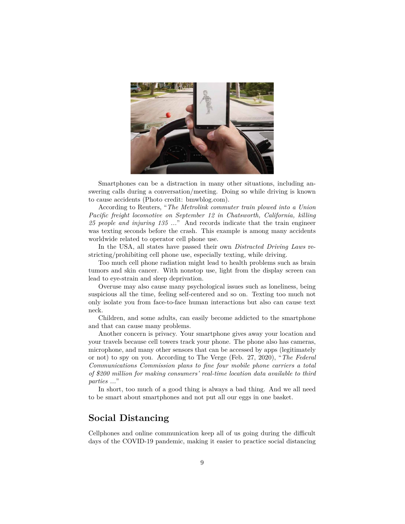

Smartphones can be a distraction in many other situations, including answering calls during a conversation/meeting. Doing so while driving is known to cause accidents (Photo credit: bmwblog.com).

According to Reuters, "*The Metrolink commuter train plowed into a Union Pacific freight locomotive on September 12 in Chatsworth, California, killing 25 people and injuring 135 ...*" And records indicate that the train engineer was texting seconds before the crash. This example is among many accidents worldwide related to operator cell phone use.

In the USA, all states have passed their own *Distracted Driving Laws* restricting/prohibiting cell phone use, especially texting, while driving.

Too much cell phone radiation might lead to health problems such as brain tumors and skin cancer. With nonstop use, light from the display screen can lead to eye-strain and sleep deprivation.

Overuse may also cause many psychological issues such as loneliness, being suspicious all the time, feeling self-centered and so on. Texting too much not only isolate you from face-to-face human interactions but also can cause text neck.

Children, and some adults, can easily become addicted to the smartphone and that can cause many problems.

Another concern is privacy. Your smartphone gives away your location and your travels because cell towers track your phone. The phone also has cameras, microphone, and many other sensors that can be accessed by apps (legitimately or not) to spy on you. According to The Verge (Feb. 27, 2020), "*The Federal Communications Commission plans to fine four mobile phone carriers a total of \$200 million for making consumers' real-time location data available to third parties ...*"

In short, too much of a good thing is always a bad thing. And we all need to be smart about smartphones and not put all our eggs in one basket.

## **Social Distancing**

Cellphones and online communication keep all of us going during the difficult days of the COVID-19 pandemic, making it easier to practice social distancing